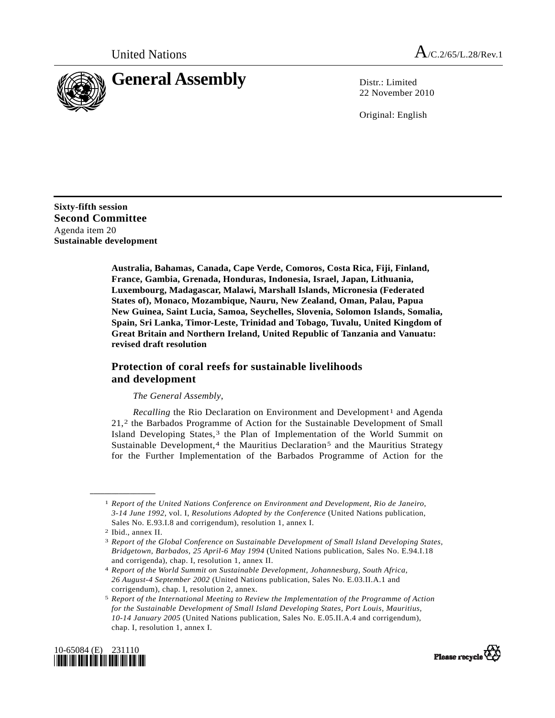

22 November 2010

Original: English

**Sixty-fifth session Second Committee**  Agenda item 20 **Sustainable development** 

> **Australia, Bahamas, Canada, Cape Verde, Comoros, Costa Rica, Fiji, Finland, France, Gambia, Grenada, Honduras, Indonesia, Israel, Japan, Lithuania, Luxembourg, Madagascar, Malawi, Marshall Islands, Micronesia (Federated States of), Monaco, Mozambique, Nauru, New Zealand, Oman, Palau, Papua New Guinea, Saint Lucia, Samoa, Seychelles, Slovenia, Solomon Islands, Somalia, Spain, Sri Lanka, Timor-Leste, Trinidad and Tobago, Tuvalu, United Kingdom of Great Britain and Northern Ireland, United Republic of Tanzania and Vanuatu: revised draft resolution**

## **Protection of coral reefs for sustainable livelihoods and development**

## *The General Assembly*,

*Recalling* the Rio Declaration on Environment and Development<sup>[1](#page-0-0)</sup> and Agenda 21,[2](#page-0-1) the Barbados Programme of Action for the Sustainable Development of Small Island Developing States,<sup>[3](#page-0-2)</sup> the Plan of Implementation of the World Summit on Sustainable Development, $4$  the Mauritius Declaration<sup>[5](#page-0-4)</sup> and the Mauritius Strategy for the Further Implementation of the Barbados Programme of Action for the

<span id="page-0-0"></span>**\_\_\_\_\_\_\_\_\_\_\_\_\_\_\_\_\_\_** 

<span id="page-0-4"></span><span id="page-0-3"></span><span id="page-0-2"></span><span id="page-0-1"></span><sup>5</sup> *Report of the International Meeting to Review the Implementation of the Programme of Action for the Sustainable Development of Small Island Developing States, Port Louis, Mauritius, 10-14 January 2005* (United Nations publication, Sales No. E.05.II.A.4 and corrigendum), chap. I, resolution 1, annex I.





<sup>1</sup> *Report of the United Nations Conference on Environment and Development, Rio de Janeiro, 3-14 June 1992*, vol. I, *Resolutions Adopted by the Conference* (United Nations publication, Sales No. E.93.I.8 and corrigendum), resolution 1, annex I.

<sup>2</sup> Ibid., annex II.

<sup>3</sup> *Report of the Global Conference on Sustainable Development of Small Island Developing States, Bridgetown, Barbados, 25 April-6 May 1994* (United Nations publication, Sales No. E.94.I.18 and corrigenda), chap. I, resolution 1, annex II.

<sup>4</sup> *Report of the World Summit on Sustainable Development, Johannesburg, South Africa, 26 August-4 September 2002* (United Nations publication, Sales No. E.03.II.A.1 and corrigendum), chap. I, resolution 2, annex.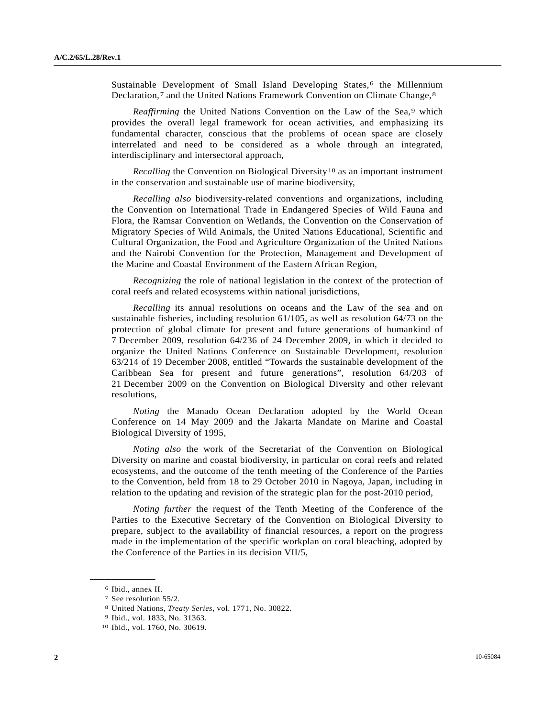Sustainable Development of Small Island Developing States,<sup>[6](#page-1-0)</sup> the Millennium Declaration,<sup>7</sup> and the United Nations Framework Convention on Climate Change,<sup>[8](#page-1-2)</sup>

*Reaffirming* the United Nations Convention on the Law of the Sea,<sup>[9](#page-1-3)</sup> which provides the overall legal framework for ocean activities, and emphasizing its fundamental character, conscious that the problems of ocean space are closely interrelated and need to be considered as a whole through an integrated, interdisciplinary and intersectoral approach,

*Recalling* the Convention on Biological Diversity<sup>[1](#page-1-4)0</sup> as an important instrument in the conservation and sustainable use of marine biodiversity,

*Recalling also* biodiversity-related conventions and organizations, including the Convention on International Trade in Endangered Species of Wild Fauna and Flora, the Ramsar Convention on Wetlands, the Convention on the Conservation of Migratory Species of Wild Animals, the United Nations Educational, Scientific and Cultural Organization, the Food and Agriculture Organization of the United Nations and the Nairobi Convention for the Protection, Management and Development of the Marine and Coastal Environment of the Eastern African Region,

*Recognizing* the role of national legislation in the context of the protection of coral reefs and related ecosystems within national jurisdictions,

*Recalling* its annual resolutions on oceans and the Law of the sea and on sustainable fisheries, including resolution 61/105, as well as resolution 64/73 on the protection of global climate for present and future generations of humankind of 7 December 2009, resolution 64/236 of 24 December 2009, in which it decided to organize the United Nations Conference on Sustainable Development, resolution 63/214 of 19 December 2008, entitled "Towards the sustainable development of the Caribbean Sea for present and future generations", resolution 64/203 of 21 December 2009 on the Convention on Biological Diversity and other relevant resolutions,

*Noting* the Manado Ocean Declaration adopted by the World Ocean Conference on 14 May 2009 and the Jakarta Mandate on Marine and Coastal Biological Diversity of 1995,

*Noting also* the work of the Secretariat of the Convention on Biological Diversity on marine and coastal biodiversity, in particular on coral reefs and related ecosystems, and the outcome of the tenth meeting of the Conference of the Parties to the Convention, held from 18 to 29 October 2010 in Nagoya, Japan, including in relation to the updating and revision of the strategic plan for the post-2010 period,

*Noting further* the request of the Tenth Meeting of the Conference of the Parties to the Executive Secretary of the Convention on Biological Diversity to prepare, subject to the availability of financial resources, a report on the progress made in the implementation of the specific workplan on coral bleaching, adopted by the Conference of the Parties in its decision VII/5,

<span id="page-1-3"></span><span id="page-1-2"></span><span id="page-1-1"></span><span id="page-1-0"></span>**\_\_\_\_\_\_\_\_\_\_\_\_\_\_\_\_\_\_** 

<sup>6</sup> Ibid., annex II.

<sup>7</sup> See resolution 55/2.

<sup>8</sup> United Nations, *Treaty Series*, vol. 1771, No. 30822. 9 Ibid., vol. 1833, No. 31363.

<span id="page-1-4"></span><sup>10</sup> Ibid., vol. 1760, No. 30619.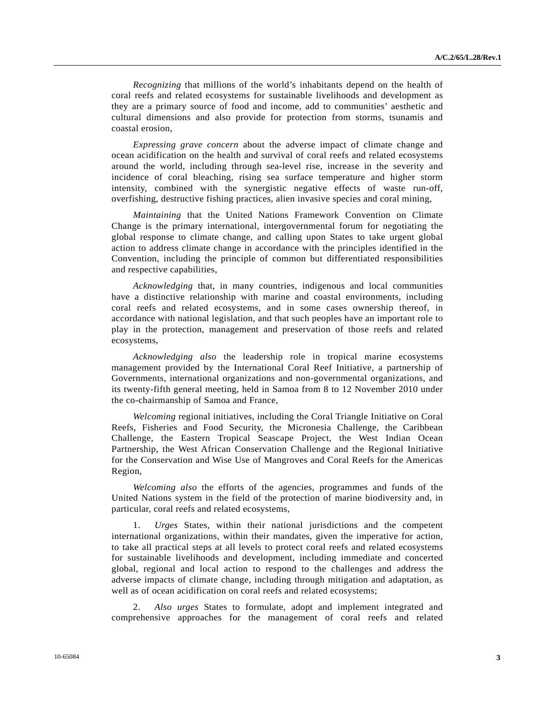*Recognizing* that millions of the world's inhabitants depend on the health of coral reefs and related ecosystems for sustainable livelihoods and development as they are a primary source of food and income, add to communities' aesthetic and cultural dimensions and also provide for protection from storms, tsunamis and coastal erosion,

*Expressing grave concern* about the adverse impact of climate change and ocean acidification on the health and survival of coral reefs and related ecosystems around the world, including through sea-level rise, increase in the severity and incidence of coral bleaching, rising sea surface temperature and higher storm intensity, combined with the synergistic negative effects of waste run-off, overfishing, destructive fishing practices, alien invasive species and coral mining,

*Maintaining* that the United Nations Framework Convention on Climate Change is the primary international, intergovernmental forum for negotiating the global response to climate change, and calling upon States to take urgent global action to address climate change in accordance with the principles identified in the Convention, including the principle of common but differentiated responsibilities and respective capabilities,

*Acknowledging* that, in many countries, indigenous and local communities have a distinctive relationship with marine and coastal environments, including coral reefs and related ecosystems, and in some cases ownership thereof, in accordance with national legislation, and that such peoples have an important role to play in the protection, management and preservation of those reefs and related ecosystems,

*Acknowledging also* the leadership role in tropical marine ecosystems management provided by the International Coral Reef Initiative, a partnership of Governments, international organizations and non-governmental organizations, and its twenty-fifth general meeting, held in Samoa from 8 to 12 November 2010 under the co-chairmanship of Samoa and France,

*Welcoming* regional initiatives, including the Coral Triangle Initiative on Coral Reefs, Fisheries and Food Security, the Micronesia Challenge, the Caribbean Challenge, the Eastern Tropical Seascape Project, the West Indian Ocean Partnership, the West African Conservation Challenge and the Regional Initiative for the Conservation and Wise Use of Mangroves and Coral Reefs for the Americas Region,

*Welcoming also* the efforts of the agencies, programmes and funds of the United Nations system in the field of the protection of marine biodiversity and, in particular, coral reefs and related ecosystems,

 1. *Urges* States, within their national jurisdictions and the competent international organizations, within their mandates, given the imperative for action, to take all practical steps at all levels to protect coral reefs and related ecosystems for sustainable livelihoods and development, including immediate and concerted global, regional and local action to respond to the challenges and address the adverse impacts of climate change, including through mitigation and adaptation, as well as of ocean acidification on coral reefs and related ecosystems;

 2. *Also urges* States to formulate, adopt and implement integrated and comprehensive approaches for the management of coral reefs and related